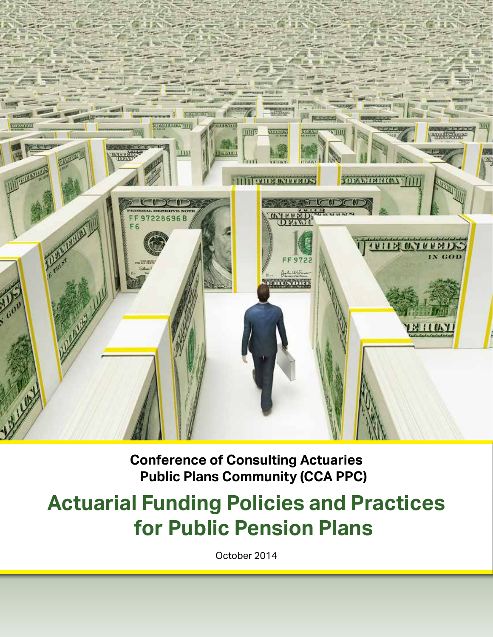

**Conference of Consulting Actuaries Public Plans Community (CCA PPC)**

# **Actuarial Funding Policies and Practices for Public Pension Plans**

October 2014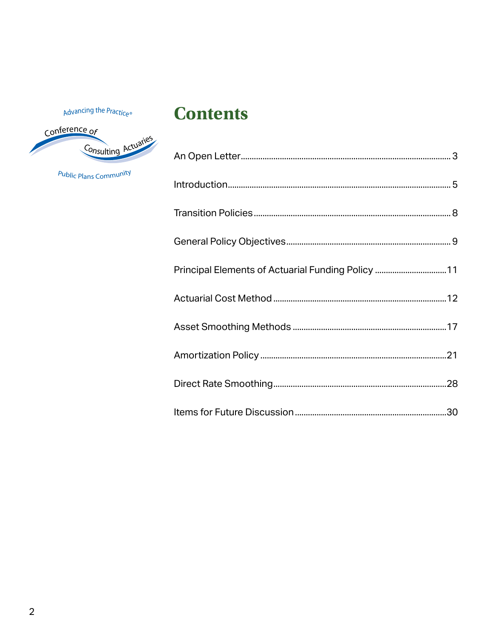Advancing the Practice®



Public Plans Community

## **Contents**

| Principal Elements of Actuarial Funding Policy 11 |  |
|---------------------------------------------------|--|
|                                                   |  |
|                                                   |  |
|                                                   |  |
|                                                   |  |
|                                                   |  |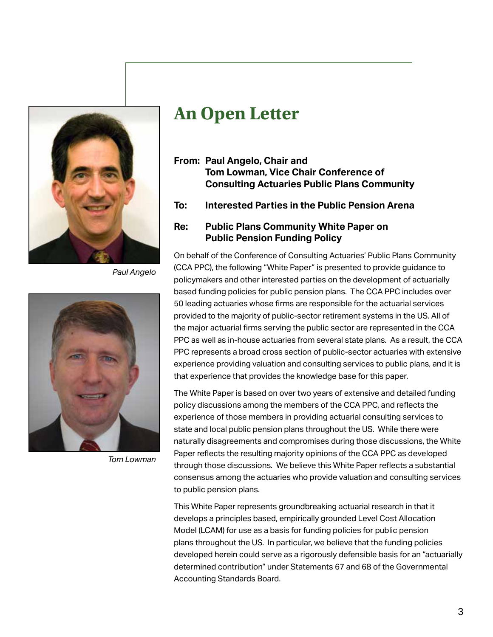<span id="page-2-0"></span>

*Paul Angelo*



*Tom Lowman*

# **An Open Letter**

- **From: Paul Angelo, Chair and Tom Lowman, Vice Chair Conference of Consulting Actuaries Public Plans Community**
- **To: Interested Parties in the Public Pension Arena**

#### **Re: Public Plans Community White Paper on Public Pension Funding Policy**

On behalf of the Conference of Consulting Actuaries' Public Plans Community (CCA PPC), the following "White Paper" is presented to provide guidance to policymakers and other interested parties on the development of actuarially based funding policies for public pension plans. The CCA PPC includes over 50 leading actuaries whose firms are responsible for the actuarial services provided to the majority of public-sector retirement systems in the US. All of the major actuarial firms serving the public sector are represented in the CCA PPC as well as in-house actuaries from several state plans. As a result, the CCA PPC represents a broad cross section of public-sector actuaries with extensive experience providing valuation and consulting services to public plans, and it is that experience that provides the knowledge base for this paper.

The White Paper is based on over two years of extensive and detailed funding policy discussions among the members of the CCA PPC, and reflects the experience of those members in providing actuarial consulting services to state and local public pension plans throughout the US. While there were naturally disagreements and compromises during those discussions, the White Paper reflects the resulting majority opinions of the CCA PPC as developed through those discussions. We believe this White Paper reflects a substantial consensus among the actuaries who provide valuation and consulting services to public pension plans.

This White Paper represents groundbreaking actuarial research in that it develops a principles based, empirically grounded Level Cost Allocation Model (LCAM) for use as a basis for funding policies for public pension plans throughout the US. In particular, we believe that the funding policies developed herein could serve as a rigorously defensible basis for an "actuarially determined contribution" under Statements 67 and 68 of the Governmental Accounting Standards Board.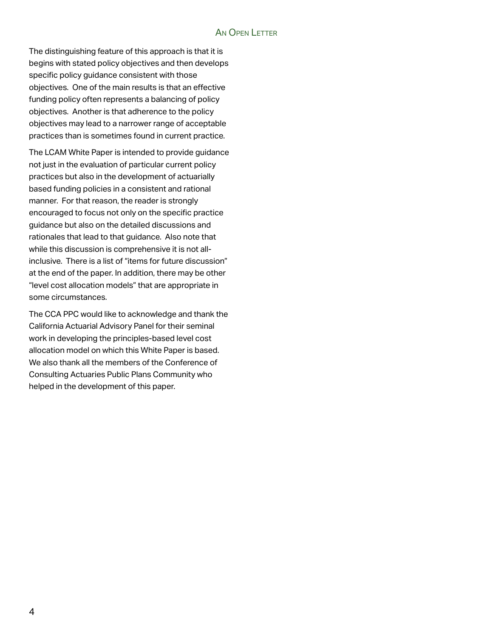#### AN OPEN LETTER

The distinguishing feature of this approach is that it is begins with stated policy objectives and then develops specific policy guidance consistent with those objectives. One of the main results is that an effective funding policy often represents a balancing of policy objectives. Another is that adherence to the policy objectives may lead to a narrower range of acceptable practices than is sometimes found in current practice.

The LCAM White Paper is intended to provide guidance not just in the evaluation of particular current policy practices but also in the development of actuarially based funding policies in a consistent and rational manner. For that reason, the reader is strongly encouraged to focus not only on the specific practice guidance but also on the detailed discussions and rationales that lead to that guidance. Also note that while this discussion is comprehensive it is not allinclusive. There is a list of "items for future discussion" at the end of the paper. In addition, there may be other "level cost allocation models" that are appropriate in some circumstances.

The CCA PPC would like to acknowledge and thank the California Actuarial Advisory Panel for their seminal work in developing the principles-based level cost allocation model on which this White Paper is based. We also thank all the members of the Conference of Consulting Actuaries Public Plans Community who helped in the development of this paper.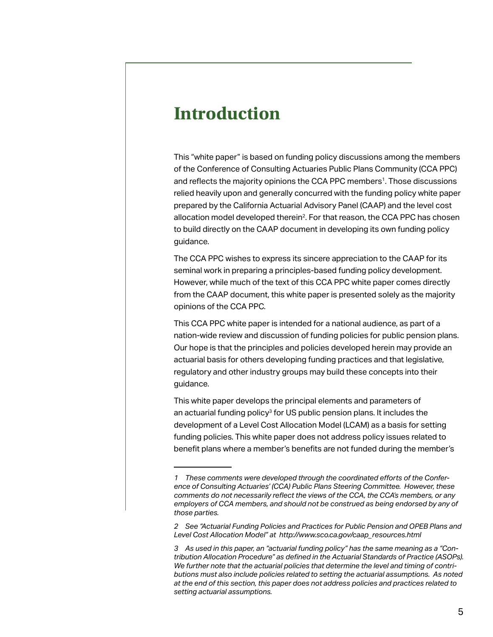## <span id="page-4-0"></span>**Introduction**

This "white paper" is based on funding policy discussions among the members of the Conference of Consulting Actuaries Public Plans Community (CCA PPC) and reflects the majority opinions the CCA PPC members<sup>1</sup>. Those discussions relied heavily upon and generally concurred with the funding policy white paper prepared by the California Actuarial Advisory Panel (CAAP) and the level cost allocation model developed therein<sup>2</sup>. For that reason, the CCA PPC has chosen to build directly on the CAAP document in developing its own funding policy guidance.

The CCA PPC wishes to express its sincere appreciation to the CAAP for its seminal work in preparing a principles-based funding policy development. However, while much of the text of this CCA PPC white paper comes directly from the CAAP document, this white paper is presented solely as the majority opinions of the CCA PPC.

This CCA PPC white paper is intended for a national audience, as part of a nation-wide review and discussion of funding policies for public pension plans. Our hope is that the principles and policies developed herein may provide an actuarial basis for others developing funding practices and that legislative, regulatory and other industry groups may build these concepts into their guidance.

This white paper develops the principal elements and parameters of an actuarial funding policy<sup>3</sup> for US public pension plans. It includes the development of a Level Cost Allocation Model (LCAM) as a basis for setting funding policies. This white paper does not address policy issues related to benefit plans where a member's benefits are not funded during the member's

*<sup>1</sup> These comments were developed through the coordinated efforts of the Conference of Consulting Actuaries' (CCA) Public Plans Steering Committee. However, these comments do not necessarily reflect the views of the CCA, the CCA's members, or any employers of CCA members, and should not be construed as being endorsed by any of those parties.*

*<sup>2</sup> See "Actuarial Funding Policies and Practices for Public Pension and OPEB Plans and Level Cost Allocation Model" at http://www.sco.ca.gov/caap\_resources.html*

*<sup>3</sup> As used in this paper, an "actuarial funding policy" has the same meaning as a "Contribution Allocation Procedure" as defined in the Actuarial Standards of Practice (ASOPs). We further note that the actuarial policies that determine the level and timing of contributions must also include policies related to setting the actuarial assumptions. As noted at the end of this section, this paper does not address policies and practices related to setting actuarial assumptions.*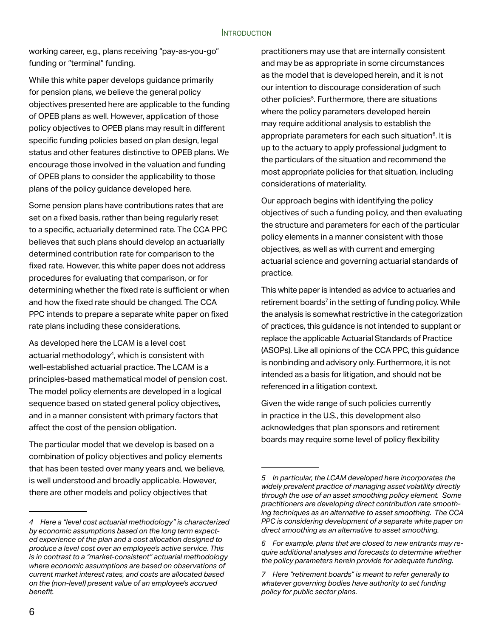working career, e.g., plans receiving "pay-as-you-go" funding or "terminal" funding.

While this white paper develops guidance primarily for pension plans, we believe the general policy objectives presented here are applicable to the funding of OPEB plans as well. However, application of those policy objectives to OPEB plans may result in different specific funding policies based on plan design, legal status and other features distinctive to OPEB plans. We encourage those involved in the valuation and funding of OPEB plans to consider the applicability to those plans of the policy guidance developed here.

Some pension plans have contributions rates that are set on a fixed basis, rather than being regularly reset to a specific, actuarially determined rate. The CCA PPC believes that such plans should develop an actuarially determined contribution rate for comparison to the fixed rate. However, this white paper does not address procedures for evaluating that comparison, or for determining whether the fixed rate is sufficient or when and how the fixed rate should be changed. The CCA PPC intends to prepare a separate white paper on fixed rate plans including these considerations.

As developed here the LCAM is a level cost actuarial methodology<sup>4</sup>, which is consistent with well-established actuarial practice. The LCAM is a principles-based mathematical model of pension cost. The model policy elements are developed in a logical sequence based on stated general policy objectives, and in a manner consistent with primary factors that affect the cost of the pension obligation.

The particular model that we develop is based on a combination of policy objectives and policy elements that has been tested over many years and, we believe, is well understood and broadly applicable. However, there are other models and policy objectives that

practitioners may use that are internally consistent and may be as appropriate in some circumstances as the model that is developed herein, and it is not our intention to discourage consideration of such other policies<sup>5</sup>. Furthermore, there are situations where the policy parameters developed herein may require additional analysis to establish the appropriate parameters for each such situation $6$ . It is up to the actuary to apply professional judgment to the particulars of the situation and recommend the most appropriate policies for that situation, including considerations of materiality.

Our approach begins with identifying the policy objectives of such a funding policy, and then evaluating the structure and parameters for each of the particular policy elements in a manner consistent with those objectives, as well as with current and emerging actuarial science and governing actuarial standards of practice.

This white paper is intended as advice to actuaries and retirement boards<sup>7</sup> in the setting of funding policy. While the analysis is somewhat restrictive in the categorization of practices, this guidance is not intended to supplant or replace the applicable Actuarial Standards of Practice (ASOPs). Like all opinions of the CCA PPC, this guidance is nonbinding and advisory only. Furthermore, it is not intended as a basis for litigation, and should not be referenced in a litigation context.

Given the wide range of such policies currently in practice in the U.S., this development also acknowledges that plan sponsors and retirement boards may require some level of policy flexibility

*<sup>4</sup> Here a "level cost actuarial methodology" is characterized by economic assumptions based on the long term expected experience of the plan and a cost allocation designed to produce a level cost over an employee's active service. This is in contrast to a "market-consistent" actuarial methodology where economic assumptions are based on observations of current market interest rates, and costs are allocated based on the (non-level) present value of an employee's accrued benefit.*

*<sup>5</sup> In particular, the LCAM developed here incorporates the widely prevalent practice of managing asset volatility directly through the use of an asset smoothing policy element. Some practitioners are developing direct contribution rate smoothing techniques as an alternative to asset smoothing. The CCA PPC is considering development of a separate white paper on direct smoothing as an alternative to asset smoothing.*

*<sup>6</sup> For example, plans that are closed to new entrants may require additional analyses and forecasts to determine whether the policy parameters herein provide for adequate funding.*

*<sup>7</sup> Here "retirement boards" is meant to refer generally to whatever governing bodies have authority to set funding policy for public sector plans.*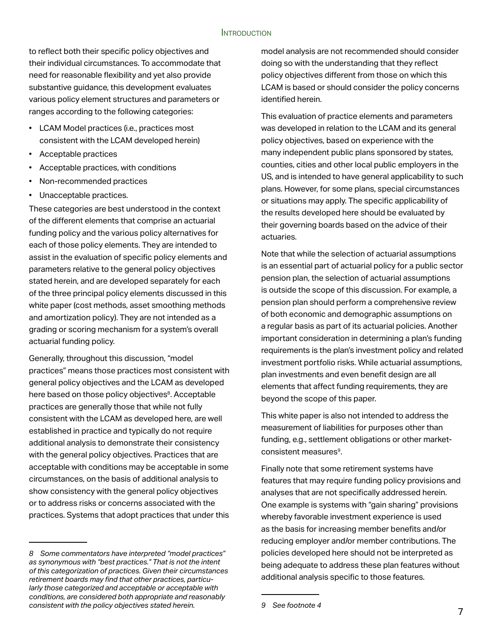#### **INTRODUCTION**

to reflect both their specific policy objectives and their individual circumstances. To accommodate that need for reasonable flexibility and yet also provide substantive guidance, this development evaluates various policy element structures and parameters or ranges according to the following categories:

- LCAM Model practices (i.e., practices most consistent with the LCAM developed herein)
- Acceptable practices
- Acceptable practices, with conditions
- Non-recommended practices
- Unacceptable practices.

These categories are best understood in the context of the different elements that comprise an actuarial funding policy and the various policy alternatives for each of those policy elements. They are intended to assist in the evaluation of specific policy elements and parameters relative to the general policy objectives stated herein, and are developed separately for each of the three principal policy elements discussed in this white paper (cost methods, asset smoothing methods and amortization policy). They are not intended as a grading or scoring mechanism for a system's overall actuarial funding policy.

Generally, throughout this discussion, "model practices" means those practices most consistent with general policy objectives and the LCAM as developed here based on those policy objectives<sup>8</sup>. Acceptable practices are generally those that while not fully consistent with the LCAM as developed here, are well established in practice and typically do not require additional analysis to demonstrate their consistency with the general policy objectives. Practices that are acceptable with conditions may be acceptable in some circumstances, on the basis of additional analysis to show consistency with the general policy objectives or to address risks or concerns associated with the practices. Systems that adopt practices that under this

model analysis are not recommended should consider doing so with the understanding that they reflect policy objectives different from those on which this LCAM is based or should consider the policy concerns identified herein.

This evaluation of practice elements and parameters was developed in relation to the LCAM and its general policy objectives, based on experience with the many independent public plans sponsored by states, counties, cities and other local public employers in the US, and is intended to have general applicability to such plans. However, for some plans, special circumstances or situations may apply. The specific applicability of the results developed here should be evaluated by their governing boards based on the advice of their actuaries.

Note that while the selection of actuarial assumptions is an essential part of actuarial policy for a public sector pension plan, the selection of actuarial assumptions is outside the scope of this discussion. For example, a pension plan should perform a comprehensive review of both economic and demographic assumptions on a regular basis as part of its actuarial policies. Another important consideration in determining a plan's funding requirements is the plan's investment policy and related investment portfolio risks. While actuarial assumptions, plan investments and even benefit design are all elements that affect funding requirements, they are beyond the scope of this paper.

This white paper is also not intended to address the measurement of liabilities for purposes other than funding, e.g., settlement obligations or other marketconsistent measures<sup>9</sup>.

Finally note that some retirement systems have features that may require funding policy provisions and analyses that are not specifically addressed herein. One example is systems with "gain sharing" provisions whereby favorable investment experience is used as the basis for increasing member benefits and/or reducing employer and/or member contributions. The policies developed here should not be interpreted as being adequate to address these plan features without additional analysis specific to those features.

*<sup>8</sup> Some commentators have interpreted "model practices" as synonymous with "best practices." That is not the intent of this categorization of practices. Given their circumstances retirement boards may find that other practices, particularly those categorized and acceptable or acceptable with conditions, are considered both appropriate and reasonably consistent with the policy objectives stated herein.*

*<sup>9</sup> See footnote 4*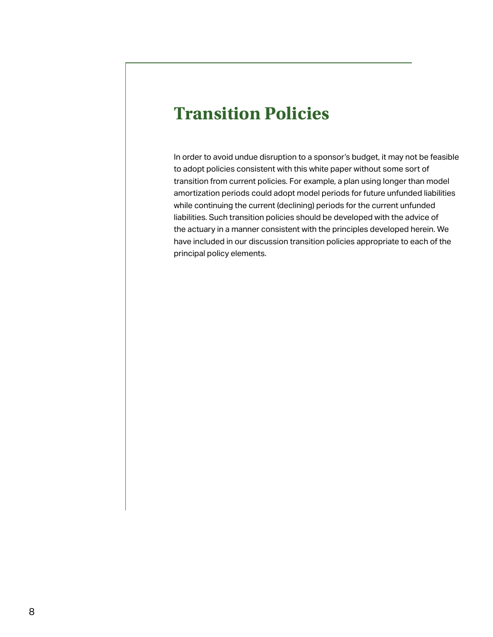## <span id="page-7-0"></span>**Transition Policies**

In order to avoid undue disruption to a sponsor's budget, it may not be feasible to adopt policies consistent with this white paper without some sort of transition from current policies. For example, a plan using longer than model amortization periods could adopt model periods for future unfunded liabilities while continuing the current (declining) periods for the current unfunded liabilities. Such transition policies should be developed with the advice of the actuary in a manner consistent with the principles developed herein. We have included in our discussion transition policies appropriate to each of the principal policy elements.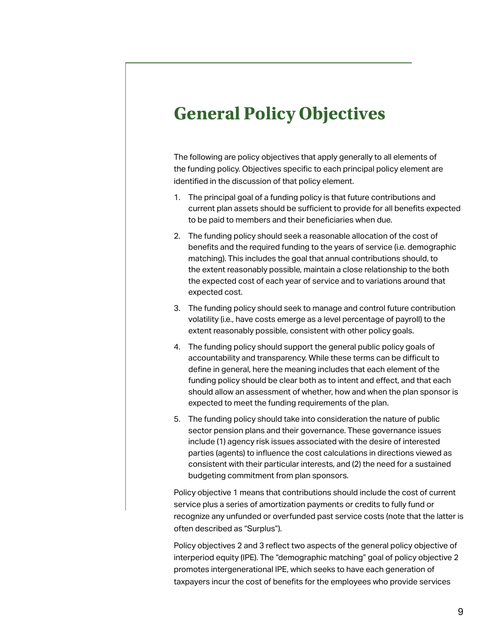# <span id="page-8-0"></span>**General Policy Objectives**

The following are policy objectives that apply generally to all elements of the funding policy. Objectives specific to each principal policy element are identified in the discussion of that policy element.

- 1. The principal goal of a funding policy is that future contributions and current plan assets should be sufficient to provide for all benefits expected to be paid to members and their beneficiaries when due.
- 2. The funding policy should seek a reasonable allocation of the cost of benefits and the required funding to the years of service (i.e. demographic matching). This includes the goal that annual contributions should, to the extent reasonably possible, maintain a close relationship to the both the expected cost of each year of service and to variations around that expected cost.
- 3. The funding policy should seek to manage and control future contribution volatility (i.e., have costs emerge as a level percentage of payroll) to the extent reasonably possible, consistent with other policy goals.
- 4. The funding policy should support the general public policy goals of accountability and transparency. While these terms can be difficult to define in general, here the meaning includes that each element of the funding policy should be clear both as to intent and effect, and that each should allow an assessment of whether, how and when the plan sponsor is expected to meet the funding requirements of the plan.
- 5. The funding policy should take into consideration the nature of public sector pension plans and their governance. These governance issues include (1) agency risk issues associated with the desire of interested parties (agents) to influence the cost calculations in directions viewed as consistent with their particular interests, and (2) the need for a sustained budgeting commitment from plan sponsors.

Policy objective 1 means that contributions should include the cost of current service plus a series of amortization payments or credits to fully fund or recognize any unfunded or overfunded past service costs (note that the latter is often described as "Surplus").

Policy objectives 2 and 3 reflect two aspects of the general policy objective of interperiod equity (IPE). The "demographic matching" goal of policy objective 2 promotes intergenerational IPE, which seeks to have each generation of taxpayers incur the cost of benefits for the employees who provide services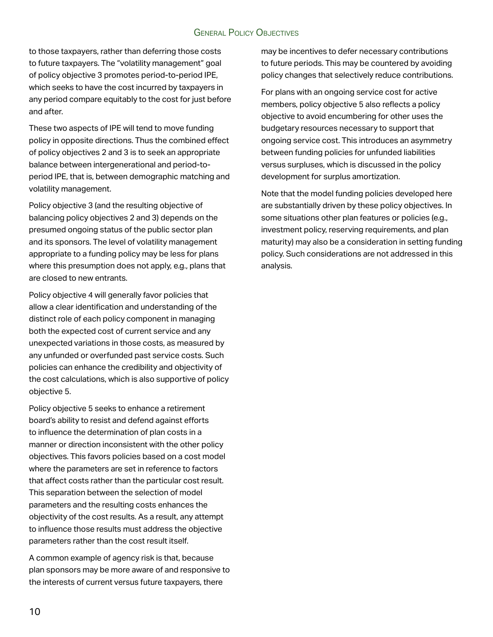#### GENERAL POLICY OBJECTIVES

to those taxpayers, rather than deferring those costs to future taxpayers. The "volatility management" goal of policy objective 3 promotes period-to-period IPE, which seeks to have the cost incurred by taxpayers in any period compare equitably to the cost for just before and after.

These two aspects of IPE will tend to move funding policy in opposite directions. Thus the combined effect of policy objectives 2 and 3 is to seek an appropriate balance between intergenerational and period-toperiod IPE, that is, between demographic matching and volatility management.

Policy objective 3 (and the resulting objective of balancing policy objectives 2 and 3) depends on the presumed ongoing status of the public sector plan and its sponsors. The level of volatility management appropriate to a funding policy may be less for plans where this presumption does not apply, e.g., plans that are closed to new entrants.

Policy objective 4 will generally favor policies that allow a clear identification and understanding of the distinct role of each policy component in managing both the expected cost of current service and any unexpected variations in those costs, as measured by any unfunded or overfunded past service costs. Such policies can enhance the credibility and objectivity of the cost calculations, which is also supportive of policy objective 5.

Policy objective 5 seeks to enhance a retirement board's ability to resist and defend against efforts to influence the determination of plan costs in a manner or direction inconsistent with the other policy objectives. This favors policies based on a cost model where the parameters are set in reference to factors that affect costs rather than the particular cost result. This separation between the selection of model parameters and the resulting costs enhances the objectivity of the cost results. As a result, any attempt to influence those results must address the objective parameters rather than the cost result itself.

A common example of agency risk is that, because plan sponsors may be more aware of and responsive to the interests of current versus future taxpayers, there

may be incentives to defer necessary contributions to future periods. This may be countered by avoiding policy changes that selectively reduce contributions.

For plans with an ongoing service cost for active members, policy objective 5 also reflects a policy objective to avoid encumbering for other uses the budgetary resources necessary to support that ongoing service cost. This introduces an asymmetry between funding policies for unfunded liabilities versus surpluses, which is discussed in the policy development for surplus amortization.

Note that the model funding policies developed here are substantially driven by these policy objectives. In some situations other plan features or policies (e.g., investment policy, reserving requirements, and plan maturity) may also be a consideration in setting funding policy. Such considerations are not addressed in this analysis.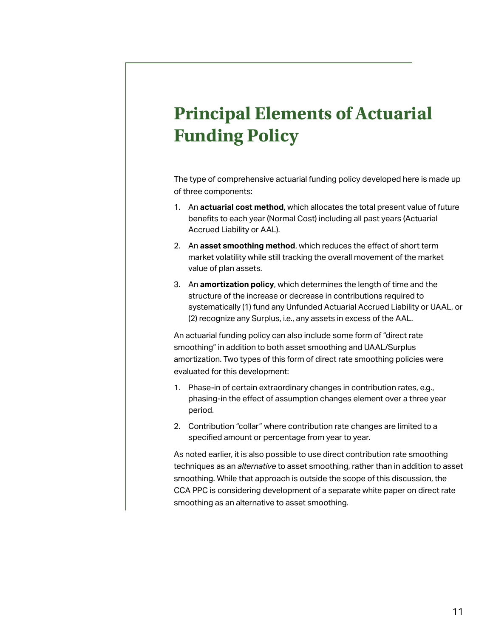# <span id="page-10-0"></span>**Principal Elements of Actuarial Funding Policy**

The type of comprehensive actuarial funding policy developed here is made up of three components:

- 1. An **actuarial cost method**, which allocates the total present value of future benefits to each year (Normal Cost) including all past years (Actuarial Accrued Liability or AAL).
- 2. An **asset smoothing method**, which reduces the effect of short term market volatility while still tracking the overall movement of the market value of plan assets.
- 3. An **amortization policy**, which determines the length of time and the structure of the increase or decrease in contributions required to systematically (1) fund any Unfunded Actuarial Accrued Liability or UAAL, or (2) recognize any Surplus, i.e., any assets in excess of the AAL.

An actuarial funding policy can also include some form of "direct rate smoothing" in addition to both asset smoothing and UAAL/Surplus amortization. Two types of this form of direct rate smoothing policies were evaluated for this development:

- 1. Phase-in of certain extraordinary changes in contribution rates, e.g., phasing-in the effect of assumption changes element over a three year period.
- 2. Contribution "collar" where contribution rate changes are limited to a specified amount or percentage from year to year.

As noted earlier, it is also possible to use direct contribution rate smoothing techniques as an *alternative* to asset smoothing, rather than in addition to asset smoothing. While that approach is outside the scope of this discussion, the CCA PPC is considering development of a separate white paper on direct rate smoothing as an alternative to asset smoothing.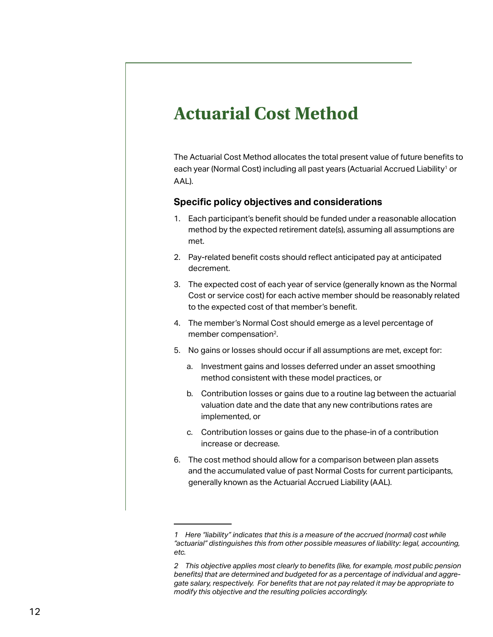# <span id="page-11-0"></span>**Actuarial Cost Method**

The Actuarial Cost Method allocates the total present value of future benefits to each year (Normal Cost) including all past years (Actuarial Accrued Liability<sup>1</sup> or AAL).

#### **Specific policy objectives and considerations**

- 1. Each participant's benefit should be funded under a reasonable allocation method by the expected retirement date(s), assuming all assumptions are met.
- 2. Pay-related benefit costs should reflect anticipated pay at anticipated decrement.
- 3. The expected cost of each year of service (generally known as the Normal Cost or service cost) for each active member should be reasonably related to the expected cost of that member's benefit.
- 4. The member's Normal Cost should emerge as a level percentage of member compensation<sup>2</sup>.
- 5. No gains or losses should occur if all assumptions are met, except for:
	- a. Investment gains and losses deferred under an asset smoothing method consistent with these model practices, or
	- b. Contribution losses or gains due to a routine lag between the actuarial valuation date and the date that any new contributions rates are implemented, or
	- c. Contribution losses or gains due to the phase-in of a contribution increase or decrease.
- 6. The cost method should allow for a comparison between plan assets and the accumulated value of past Normal Costs for current participants, generally known as the Actuarial Accrued Liability (AAL).

*<sup>1</sup> Here "liability" indicates that this is a measure of the accrued (normal) cost while "actuarial" distinguishes this from other possible measures of liability: legal, accounting, etc.*

*<sup>2</sup> This objective applies most clearly to benefits (like, for example, most public pension benefits) that are determined and budgeted for as a percentage of individual and aggregate salary, respectively. For benefits that are not pay related it may be appropriate to modify this objective and the resulting policies accordingly.*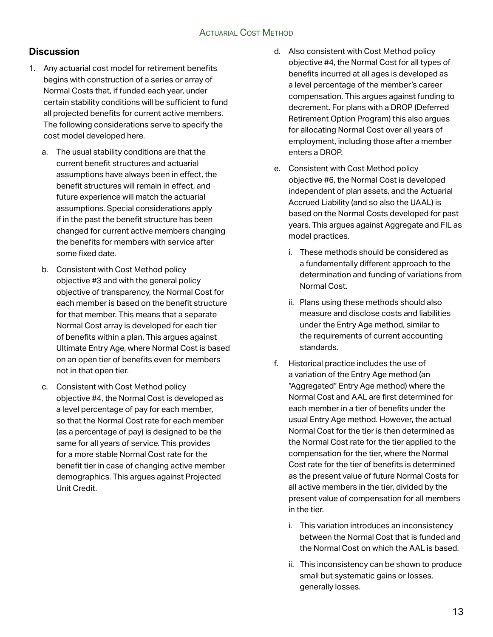#### **Discussion**

- 1. Any actuarial cost model for retirement benefits begins with construction of a series or array of Normal Costs that, if funded each year, under certain stability conditions will be sufficient to fund all projected benefits for current active members. The following considerations serve to specify the cost model developed here.
	- a. The usual stability conditions are that the current benefit structures and actuarial assumptions have always been in effect, the benefit structures will remain in effect, and future experience will match the actuarial assumptions. Special considerations apply if in the past the benefit structure has been changed for current active members changing the benefits for members with service after some fixed date.
	- b. Consistent with Cost Method policy objective #3 and with the general policy objective of transparency, the Normal Cost for each member is based on the benefit structure for that member. This means that a separate Normal Cost array is developed for each tier of benefits within a plan. This argues against Ultimate Entry Age, where Normal Cost is based on an open tier of benefits even for members not in that open tier.
	- c. Consistent with Cost Method policy objective #4, the Normal Cost is developed as a level percentage of pay for each member, so that the Normal Cost rate for each member (as a percentage of pay) is designed to be the same for all years of service. This provides for a more stable Normal Cost rate for the benefit tier in case of changing active member demographics. This argues against Projected Unit Credit.
- d. Also consistent with Cost Method policy objective #4, the Normal Cost for all types of benefits incurred at all ages is developed as a level percentage of the member's career compensation. This argues against funding to decrement. For plans with a DROP (Deferred Retirement Option Program) this also argues for allocating Normal Cost over all years of employment, including those after a member enters a DROP.
- e. Consistent with Cost Method policy objective #6, the Normal Cost is developed independent of plan assets, and the Actuarial Accrued Liability (and so also the UAAL) is based on the Normal Costs developed for past years. This argues against Aggregate and FIL as model practices.
	- i. These methods should be considered as a fundamentally different approach to the determination and funding of variations from Normal Cost.
	- ii. Plans using these methods should also measure and disclose costs and liabilities under the Entry Age method, similar to the requirements of current accounting standards.
- f. Historical practice includes the use of a variation of the Entry Age method (an "Aggregated" Entry Age method) where the Normal Cost and AAL are first determined for each member in a tier of benefits under the usual Entry Age method. However, the actual Normal Cost for the tier is then determined as the Normal Cost rate for the tier applied to the compensation for the tier, where the Normal Cost rate for the tier of benefits is determined as the present value of future Normal Costs for all active members in the tier, divided by the present value of compensation for all members in the tier.
	- i. This variation introduces an inconsistency between the Normal Cost that is funded and the Normal Cost on which the AAL is based.
	- ii. This inconsistency can be shown to produce small but systematic gains or losses, generally losses.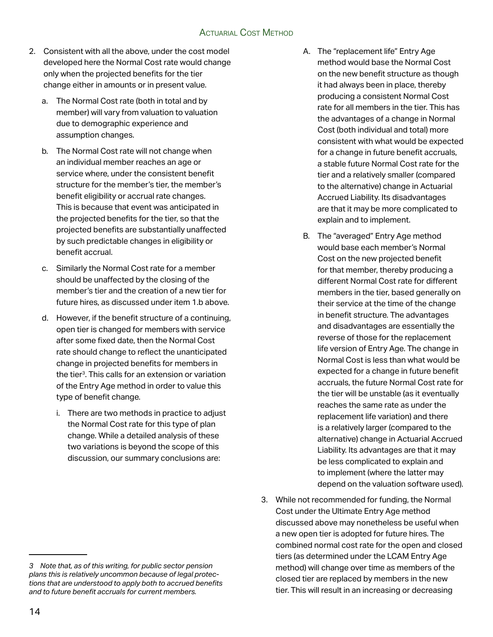#### Actuarial Cost Method

- 2. Consistent with all the above, under the cost model developed here the Normal Cost rate would change only when the projected benefits for the tier change either in amounts or in present value.
	- a. The Normal Cost rate (both in total and by member) will vary from valuation to valuation due to demographic experience and assumption changes.
	- b. The Normal Cost rate will not change when an individual member reaches an age or service where, under the consistent benefit structure for the member's tier, the member's benefit eligibility or accrual rate changes. This is because that event was anticipated in the projected benefits for the tier, so that the projected benefits are substantially unaffected by such predictable changes in eligibility or benefit accrual.
	- c. Similarly the Normal Cost rate for a member should be unaffected by the closing of the member's tier and the creation of a new tier for future hires, as discussed under item 1.b above.
	- d. However, if the benefit structure of a continuing, open tier is changed for members with service after some fixed date, then the Normal Cost rate should change to reflect the unanticipated change in projected benefits for members in the tier3. This calls for an extension or variation of the Entry Age method in order to value this type of benefit change.
		- i. There are two methods in practice to adjust the Normal Cost rate for this type of plan change. While a detailed analysis of these two variations is beyond the scope of this discussion, our summary conclusions are:
- A. The "replacement life" Entry Age method would base the Normal Cost on the new benefit structure as though it had always been in place, thereby producing a consistent Normal Cost rate for all members in the tier. This has the advantages of a change in Normal Cost (both individual and total) more consistent with what would be expected for a change in future benefit accruals, a stable future Normal Cost rate for the tier and a relatively smaller (compared to the alternative) change in Actuarial Accrued Liability. Its disadvantages are that it may be more complicated to explain and to implement.
- B. The "averaged" Entry Age method would base each member's Normal Cost on the new projected benefit for that member, thereby producing a different Normal Cost rate for different members in the tier, based generally on their service at the time of the change in benefit structure. The advantages and disadvantages are essentially the reverse of those for the replacement life version of Entry Age. The change in Normal Cost is less than what would be expected for a change in future benefit accruals, the future Normal Cost rate for the tier will be unstable (as it eventually reaches the same rate as under the replacement life variation) and there is a relatively larger (compared to the alternative) change in Actuarial Accrued Liability. Its advantages are that it may be less complicated to explain and to implement (where the latter may depend on the valuation software used).
- 3. While not recommended for funding, the Normal Cost under the Ultimate Entry Age method discussed above may nonetheless be useful when a new open tier is adopted for future hires. The combined normal cost rate for the open and closed tiers (as determined under the LCAM Entry Age method) will change over time as members of the closed tier are replaced by members in the new tier. This will result in an increasing or decreasing

*<sup>3</sup> Note that, as of this writing, for public sector pension plans this is relatively uncommon because of legal protections that are understood to apply both to accrued benefits and to future benefit accruals for current members.*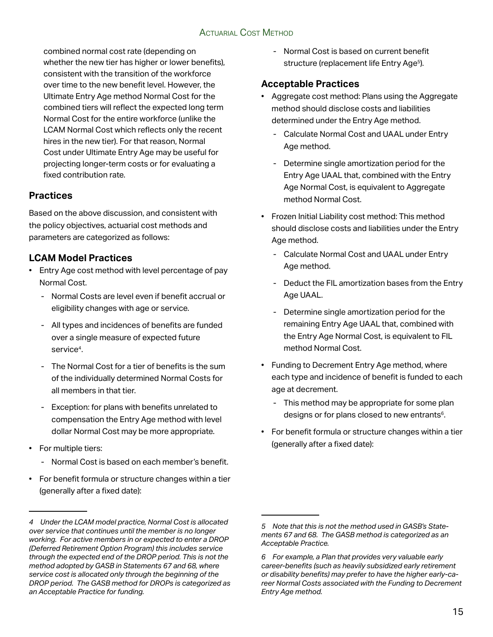#### Actuarial Cost Method

combined normal cost rate (depending on whether the new tier has higher or lower benefits), consistent with the transition of the workforce over time to the new benefit level. However, the Ultimate Entry Age method Normal Cost for the combined tiers will reflect the expected long term Normal Cost for the entire workforce (unlike the LCAM Normal Cost which reflects only the recent hires in the new tier). For that reason, Normal Cost under Ultimate Entry Age may be useful for projecting longer-term costs or for evaluating a fixed contribution rate.

#### **Practices**

Based on the above discussion, and consistent with the policy objectives, actuarial cost methods and parameters are categorized as follows:

#### **LCAM Model Practices**

- Entry Age cost method with level percentage of pay Normal Cost.
	- Normal Costs are level even if benefit accrual or eligibility changes with age or service.
	- All types and incidences of benefits are funded over a single measure of expected future service<sup>4</sup>.
	- The Normal Cost for a tier of benefits is the sum of the individually determined Normal Costs for all members in that tier.
	- Exception: for plans with benefits unrelated to compensation the Entry Age method with level dollar Normal Cost may be more appropriate.
- For multiple tiers:
	- Normal Cost is based on each member's benefit.
- For benefit formula or structure changes within a tier (generally after a fixed date):

- Normal Cost is based on current benefit structure (replacement life Entry Age<sup>5</sup>).

#### **Acceptable Practices**

- Aggregate cost method: Plans using the Aggregate method should disclose costs and liabilities determined under the Entry Age method.
	- Calculate Normal Cost and UAAL under Entry Age method.
	- Determine single amortization period for the Entry Age UAAL that, combined with the Entry Age Normal Cost, is equivalent to Aggregate method Normal Cost.
- Frozen Initial Liability cost method: This method should disclose costs and liabilities under the Entry Age method.
	- Calculate Normal Cost and UAAL under Entry Age method.
	- Deduct the FIL amortization bases from the Entry Age UAAL.
	- Determine single amortization period for the remaining Entry Age UAAL that, combined with the Entry Age Normal Cost, is equivalent to FIL method Normal Cost.
- Funding to Decrement Entry Age method, where each type and incidence of benefit is funded to each age at decrement.
	- This method may be appropriate for some plan designs or for plans closed to new entrants<sup>6</sup>.
- For benefit formula or structure changes within a tier (generally after a fixed date):

*<sup>4</sup> Under the LCAM model practice, Normal Cost is allocated over service that continues until the member is no longer working. For active members in or expected to enter a DROP (Deferred Retirement Option Program) this includes service through the expected end of the DROP period. This is not the method adopted by GASB in Statements 67 and 68, where service cost is allocated only through the beginning of the DROP period. The GASB method for DROPs is categorized as an Acceptable Practice for funding.*

*<sup>5</sup> Note that this is not the method used in GASB's Statements 67 and 68. The GASB method is categorized as an Acceptable Practice.*

*<sup>6</sup> For example, a Plan that provides very valuable early career-benefits (such as heavily subsidized early retirement or disability benefits) may prefer to have the higher early-career Normal Costs associated with the Funding to Decrement Entry Age method.*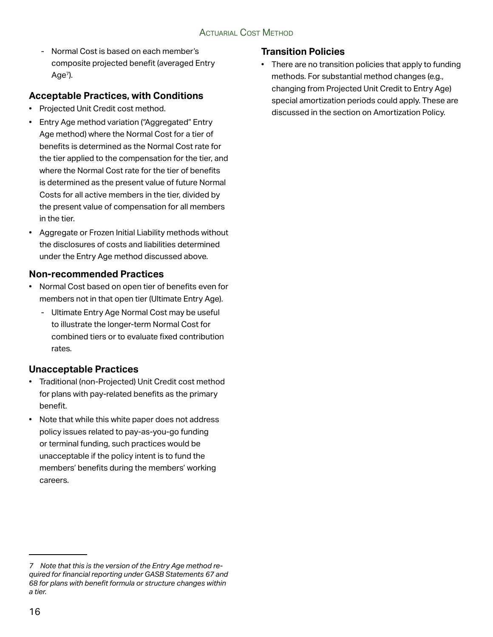- Normal Cost is based on each member's composite projected benefit (averaged Entry  $Age<sup>7</sup>$ ).

#### **Acceptable Practices, with Conditions**

- Projected Unit Credit cost method.
- Entry Age method variation ("Aggregated" Entry Age method) where the Normal Cost for a tier of benefits is determined as the Normal Cost rate for the tier applied to the compensation for the tier, and where the Normal Cost rate for the tier of benefits is determined as the present value of future Normal Costs for all active members in the tier, divided by the present value of compensation for all members in the tier.
- Aggregate or Frozen Initial Liability methods without the disclosures of costs and liabilities determined under the Entry Age method discussed above.

#### **Non-recommended Practices**

- Normal Cost based on open tier of benefits even for members not in that open tier (Ultimate Entry Age).
	- Ultimate Entry Age Normal Cost may be useful to illustrate the longer-term Normal Cost for combined tiers or to evaluate fixed contribution rates.

## **Unacceptable Practices**

- Traditional (non-Projected) Unit Credit cost method for plans with pay-related benefits as the primary benefit.
- Note that while this white paper does not address policy issues related to pay-as-you-go funding or terminal funding, such practices would be unacceptable if the policy intent is to fund the members' benefits during the members' working careers.

#### **Transition Policies**

• There are no transition policies that apply to funding methods. For substantial method changes (e.g., changing from Projected Unit Credit to Entry Age) special amortization periods could apply. These are discussed in the section on Amortization Policy.

*<sup>7</sup> Note that this is the version of the Entry Age method required for financial reporting under GASB Statements 67 and 68 for plans with benefit formula or structure changes within a tier.*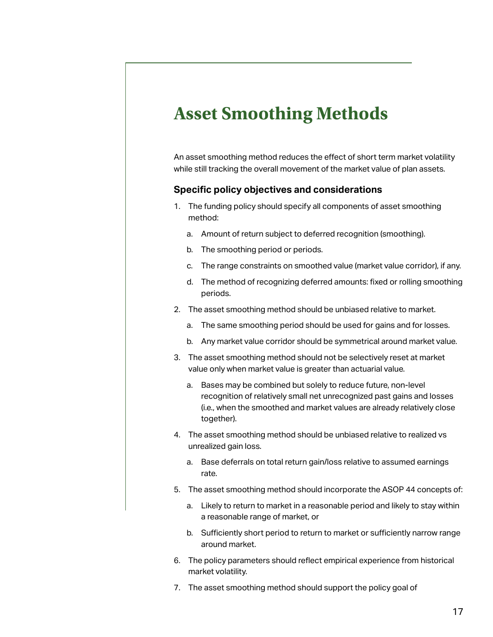# <span id="page-16-0"></span>**Asset Smoothing Methods**

An asset smoothing method reduces the effect of short term market volatility while still tracking the overall movement of the market value of plan assets.

#### **Specific policy objectives and considerations**

- 1. The funding policy should specify all components of asset smoothing method:
	- a. Amount of return subject to deferred recognition (smoothing).
	- b. The smoothing period or periods.
	- c. The range constraints on smoothed value (market value corridor), if any.
	- d. The method of recognizing deferred amounts: fixed or rolling smoothing periods.
- 2. The asset smoothing method should be unbiased relative to market.
	- a. The same smoothing period should be used for gains and for losses.
	- b. Any market value corridor should be symmetrical around market value.
- 3. The asset smoothing method should not be selectively reset at market value only when market value is greater than actuarial value.
	- a. Bases may be combined but solely to reduce future, non-level recognition of relatively small net unrecognized past gains and losses (i.e., when the smoothed and market values are already relatively close together).
- 4. The asset smoothing method should be unbiased relative to realized vs unrealized gain loss.
	- a. Base deferrals on total return gain/loss relative to assumed earnings rate.
- 5. The asset smoothing method should incorporate the ASOP 44 concepts of:
	- a. Likely to return to market in a reasonable period and likely to stay within a reasonable range of market, or
	- b. Sufficiently short period to return to market or sufficiently narrow range around market.
- 6. The policy parameters should reflect empirical experience from historical market volatility.
- 7. The asset smoothing method should support the policy goal of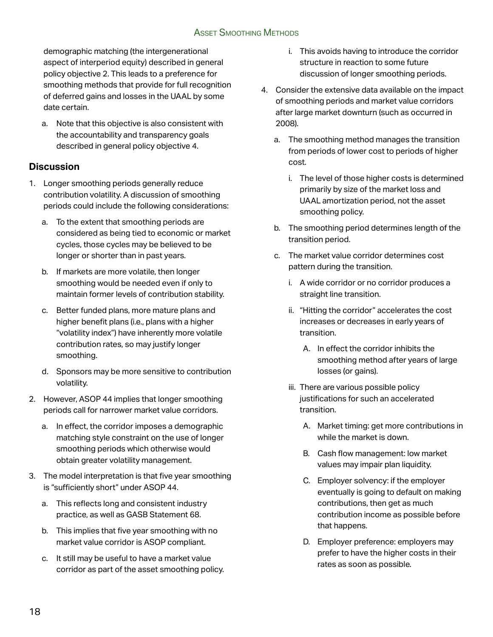#### Asset Smoothing Methods

demographic matching (the intergenerational aspect of interperiod equity) described in general policy objective 2. This leads to a preference for smoothing methods that provide for full recognition of deferred gains and losses in the UAAL by some date certain.

a. Note that this objective is also consistent with the accountability and transparency goals described in general policy objective 4.

#### **Discussion**

- 1. Longer smoothing periods generally reduce contribution volatility. A discussion of smoothing periods could include the following considerations:
	- a. To the extent that smoothing periods are considered as being tied to economic or market cycles, those cycles may be believed to be longer or shorter than in past years.
	- b. If markets are more volatile, then longer smoothing would be needed even if only to maintain former levels of contribution stability.
	- c. Better funded plans, more mature plans and higher benefit plans (i.e., plans with a higher "volatility index") have inherently more volatile contribution rates, so may justify longer smoothing.
	- d. Sponsors may be more sensitive to contribution volatility.
- 2. However, ASOP 44 implies that longer smoothing periods call for narrower market value corridors.
	- a. In effect, the corridor imposes a demographic matching style constraint on the use of longer smoothing periods which otherwise would obtain greater volatility management.
- 3. The model interpretation is that five year smoothing is "sufficiently short" under ASOP 44.
	- a. This reflects long and consistent industry practice, as well as GASB Statement 68.
	- b. This implies that five year smoothing with no market value corridor is ASOP compliant.
	- c. It still may be useful to have a market value corridor as part of the asset smoothing policy.
- i. This avoids having to introduce the corridor structure in reaction to some future discussion of longer smoothing periods.
- 4. Consider the extensive data available on the impact of smoothing periods and market value corridors after large market downturn (such as occurred in 2008).
	- a. The smoothing method manages the transition from periods of lower cost to periods of higher cost.
		- i. The level of those higher costs is determined primarily by size of the market loss and UAAL amortization period, not the asset smoothing policy.
	- b. The smoothing period determines length of the transition period.
	- c. The market value corridor determines cost pattern during the transition.
		- i. A wide corridor or no corridor produces a straight line transition.
		- ii. "Hitting the corridor" accelerates the cost increases or decreases in early years of transition.
			- A. In effect the corridor inhibits the smoothing method after years of large losses (or gains).
		- iii. There are various possible policy justifications for such an accelerated transition.
			- A. Market timing: get more contributions in while the market is down.
			- B. Cash flow management: low market values may impair plan liquidity.
			- C. Employer solvency: if the employer eventually is going to default on making contributions, then get as much contribution income as possible before that happens.
			- D. Employer preference: employers may prefer to have the higher costs in their rates as soon as possible.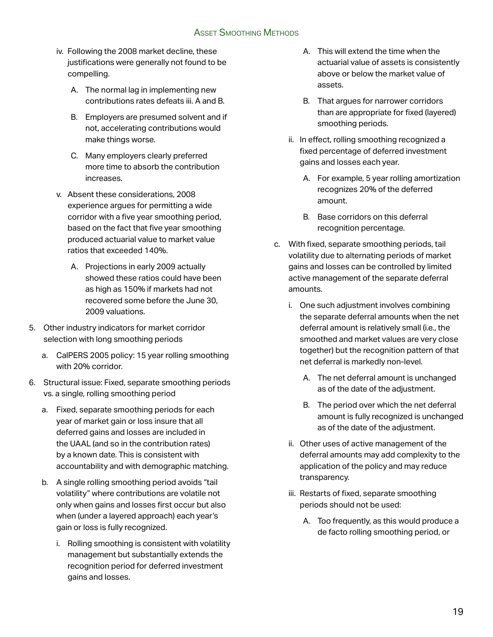- iv. Following the 2008 market decline, these justifications were generally not found to be compelling.
	- A. The normal lag in implementing new contributions rates defeats iii. A and B.
	- B. Employers are presumed solvent and if not, accelerating contributions would make things worse.
	- C. Many employers clearly preferred more time to absorb the contribution increases.
- v. Absent these considerations, 2008 experience argues for permitting a wide corridor with a five year smoothing period, based on the fact that five year smoothing produced actuarial value to market value ratios that exceeded 140%.
	- A. Projections in early 2009 actually showed these ratios could have been as high as 150% if markets had not recovered some before the June 30, 2009 valuations.
- 5. Other industry indicators for market corridor selection with long smoothing periods
	- a. CalPERS 2005 policy: 15 year rolling smoothing with 20% corridor.
- 6. Structural issue: Fixed, separate smoothing periods vs. a single, rolling smoothing period
	- a. Fixed, separate smoothing periods for each year of market gain or loss insure that all deferred gains and losses are included in the UAAL (and so in the contribution rates) by a known date. This is consistent with accountability and with demographic matching.
	- b. A single rolling smoothing period avoids "tail volatility" where contributions are volatile not only when gains and losses first occur but also when (under a layered approach) each year's gain or loss is fully recognized.
		- i. Rolling smoothing is consistent with volatility management but substantially extends the recognition period for deferred investment gains and losses.
- A. This will extend the time when the actuarial value of assets is consistently above or below the market value of assets.
- B. That argues for narrower corridors than are appropriate for fixed (layered) smoothing periods.
- ii. In effect, rolling smoothing recognized a fixed percentage of deferred investment gains and losses each year.
	- A. For example, 5 year rolling amortization recognizes 20% of the deferred amount.
	- B. Base corridors on this deferral recognition percentage.
- c. With fixed, separate smoothing periods, tail volatility due to alternating periods of market gains and losses can be controlled by limited active management of the separate deferral amounts.
	- i. One such adjustment involves combining the separate deferral amounts when the net deferral amount is relatively small (i.e., the smoothed and market values are very close together) but the recognition pattern of that net deferral is markedly non-level.
		- A. The net deferral amount is unchanged as of the date of the adjustment.
		- B. The period over which the net deferral amount is fully recognized is unchanged as of the date of the adjustment.
	- ii. Other uses of active management of the deferral amounts may add complexity to the application of the policy and may reduce transparency.
	- iii. Restarts of fixed, separate smoothing periods should not be used:
		- A. Too frequently, as this would produce a de facto rolling smoothing period, or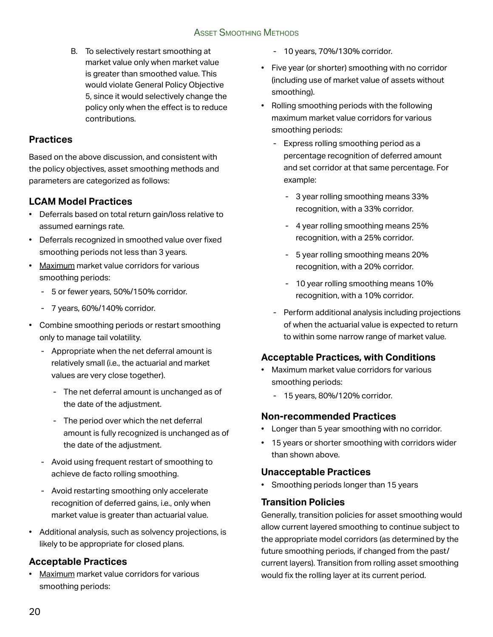B. To selectively restart smoothing at market value only when market value is greater than smoothed value. This would violate General Policy Objective 5, since it would selectively change the policy only when the effect is to reduce contributions.

#### **Practices**

Based on the above discussion, and consistent with the policy objectives, asset smoothing methods and parameters are categorized as follows:

#### **LCAM Model Practices**

- Deferrals based on total return gain/loss relative to assumed earnings rate.
- Deferrals recognized in smoothed value over fixed smoothing periods not less than 3 years.
- Maximum market value corridors for various smoothing periods:
	- 5 or fewer years, 50%/150% corridor.
	- 7 years, 60%/140% corridor.
- Combine smoothing periods or restart smoothing only to manage tail volatility.
	- Appropriate when the net deferral amount is relatively small (i.e., the actuarial and market values are very close together).
		- The net deferral amount is unchanged as of the date of the adjustment.
		- The period over which the net deferral amount is fully recognized is unchanged as of the date of the adjustment.
	- Avoid using frequent restart of smoothing to achieve de facto rolling smoothing.
	- Avoid restarting smoothing only accelerate recognition of deferred gains, i.e., only when market value is greater than actuarial value.
- Additional analysis, such as solvency projections, is likely to be appropriate for closed plans.

#### **Acceptable Practices**

• Maximum market value corridors for various smoothing periods:

- 10 years, 70%/130% corridor.
- Five year (or shorter) smoothing with no corridor (including use of market value of assets without smoothing).
- Rolling smoothing periods with the following maximum market value corridors for various smoothing periods:
	- Express rolling smoothing period as a percentage recognition of deferred amount and set corridor at that same percentage. For example:
		- 3 year rolling smoothing means 33% recognition, with a 33% corridor.
		- 4 year rolling smoothing means 25% recognition, with a 25% corridor.
		- 5 year rolling smoothing means 20% recognition, with a 20% corridor.
		- 10 year rolling smoothing means 10% recognition, with a 10% corridor.
	- Perform additional analysis including projections of when the actuarial value is expected to return to within some narrow range of market value.

## **Acceptable Practices, with Conditions**

- Maximum market value corridors for various smoothing periods:
	- 15 years, 80%/120% corridor.

## **Non-recommended Practices**

- Longer than 5 year smoothing with no corridor.
- 15 years or shorter smoothing with corridors wider than shown above.

## **Unacceptable Practices**

• Smoothing periods longer than 15 years

## **Transition Policies**

Generally, transition policies for asset smoothing would allow current layered smoothing to continue subject to the appropriate model corridors (as determined by the future smoothing periods, if changed from the past/ current layers). Transition from rolling asset smoothing would fix the rolling layer at its current period.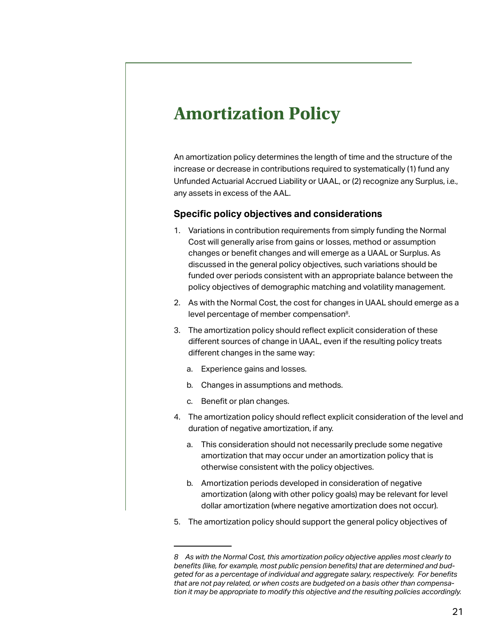## <span id="page-20-0"></span>**Amortization Policy**

An amortization policy determines the length of time and the structure of the increase or decrease in contributions required to systematically (1) fund any Unfunded Actuarial Accrued Liability or UAAL, or (2) recognize any Surplus, i.e., any assets in excess of the AAL.

#### **Specific policy objectives and considerations**

- 1. Variations in contribution requirements from simply funding the Normal Cost will generally arise from gains or losses, method or assumption changes or benefit changes and will emerge as a UAAL or Surplus. As discussed in the general policy objectives, such variations should be funded over periods consistent with an appropriate balance between the policy objectives of demographic matching and volatility management.
- 2. As with the Normal Cost, the cost for changes in UAAL should emerge as a level percentage of member compensation<sup>8</sup>.
- 3. The amortization policy should reflect explicit consideration of these different sources of change in UAAL, even if the resulting policy treats different changes in the same way:
	- a. Experience gains and losses.
	- b. Changes in assumptions and methods.
	- c. Benefit or plan changes.
- 4. The amortization policy should reflect explicit consideration of the level and duration of negative amortization, if any.
	- a. This consideration should not necessarily preclude some negative amortization that may occur under an amortization policy that is otherwise consistent with the policy objectives.
	- b. Amortization periods developed in consideration of negative amortization (along with other policy goals) may be relevant for level dollar amortization (where negative amortization does not occur).
- 5. The amortization policy should support the general policy objectives of

*<sup>8</sup> As with the Normal Cost, this amortization policy objective applies most clearly to benefits (like, for example, most public pension benefits) that are determined and budgeted for as a percentage of individual and aggregate salary, respectively. For benefits that are not pay related, or when costs are budgeted on a basis other than compensation it may be appropriate to modify this objective and the resulting policies accordingly.*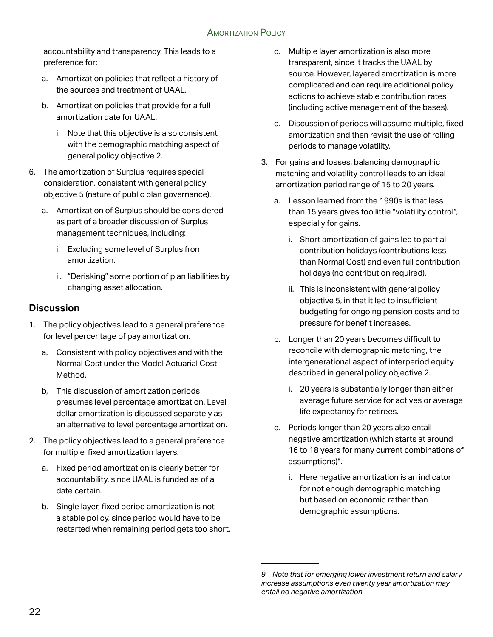accountability and transparency. This leads to a preference for:

- a. Amortization policies that reflect a history of the sources and treatment of UAAL.
- b. Amortization policies that provide for a full amortization date for UAAL.
	- i. Note that this objective is also consistent with the demographic matching aspect of general policy objective 2.
- 6. The amortization of Surplus requires special consideration, consistent with general policy objective 5 (nature of public plan governance).
	- a. Amortization of Surplus should be considered as part of a broader discussion of Surplus management techniques, including:
		- i. Excluding some level of Surplus from amortization.
		- ii. "Derisking" some portion of plan liabilities by changing asset allocation.

#### **Discussion**

- 1. The policy objectives lead to a general preference for level percentage of pay amortization.
	- a. Consistent with policy objectives and with the Normal Cost under the Model Actuarial Cost Method.
	- b, This discussion of amortization periods presumes level percentage amortization. Level dollar amortization is discussed separately as an alternative to level percentage amortization.
- 2. The policy objectives lead to a general preference for multiple, fixed amortization layers.
	- a. Fixed period amortization is clearly better for accountability, since UAAL is funded as of a date certain.
	- b. Single layer, fixed period amortization is not a stable policy, since period would have to be restarted when remaining period gets too short.
- c. Multiple layer amortization is also more transparent, since it tracks the UAAL by source. However, layered amortization is more complicated and can require additional policy actions to achieve stable contribution rates (including active management of the bases).
- d. Discussion of periods will assume multiple, fixed amortization and then revisit the use of rolling periods to manage volatility.
- 3. For gains and losses, balancing demographic matching and volatility control leads to an ideal amortization period range of 15 to 20 years.
	- a. Lesson learned from the 1990s is that less than 15 years gives too little "volatility control", especially for gains.
		- i. Short amortization of gains led to partial contribution holidays (contributions less than Normal Cost) and even full contribution holidays (no contribution required).
		- ii. This is inconsistent with general policy objective 5, in that it led to insufficient budgeting for ongoing pension costs and to pressure for benefit increases.
	- b. Longer than 20 years becomes difficult to reconcile with demographic matching, the intergenerational aspect of interperiod equity described in general policy objective 2.
		- i. 20 years is substantially longer than either average future service for actives or average life expectancy for retirees.
	- c. Periods longer than 20 years also entail negative amortization (which starts at around 16 to 18 years for many current combinations of assumptions)<sup>9</sup>.
		- i. Here negative amortization is an indicator for not enough demographic matching but based on economic rather than demographic assumptions.

*<sup>9</sup> Note that for emerging lower investment return and salary increase assumptions even twenty year amortization may entail no negative amortization.*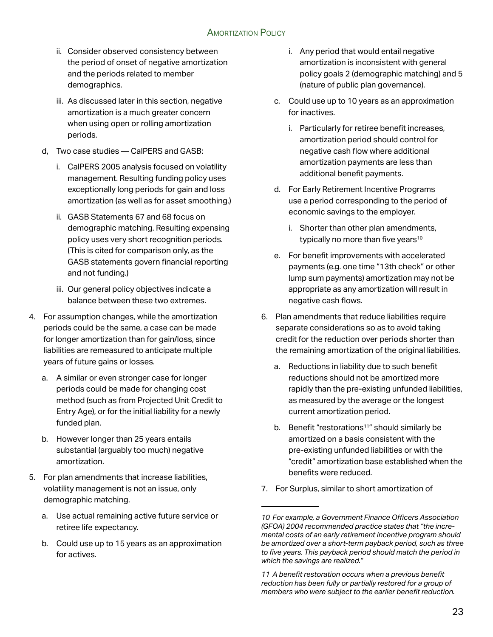- ii. Consider observed consistency between the period of onset of negative amortization and the periods related to member demographics.
- iii. As discussed later in this section, negative amortization is a much greater concern when using open or rolling amortization periods.
- d, Two case studies CalPERS and GASB:
	- i. CalPERS 2005 analysis focused on volatility management. Resulting funding policy uses exceptionally long periods for gain and loss amortization (as well as for asset smoothing.)
	- ii. GASB Statements 67 and 68 focus on demographic matching. Resulting expensing policy uses very short recognition periods. (This is cited for comparison only, as the GASB statements govern financial reporting and not funding.)
	- iii. Our general policy objectives indicate a balance between these two extremes.
- 4. For assumption changes, while the amortization periods could be the same, a case can be made for longer amortization than for gain/loss, since liabilities are remeasured to anticipate multiple years of future gains or losses.
	- a. A similar or even stronger case for longer periods could be made for changing cost method (such as from Projected Unit Credit to Entry Age), or for the initial liability for a newly funded plan.
	- b. However longer than 25 years entails substantial (arguably too much) negative amortization.
- 5. For plan amendments that increase liabilities, volatility management is not an issue, only demographic matching.
	- a. Use actual remaining active future service or retiree life expectancy.
	- b. Could use up to 15 years as an approximation for actives.
- i. Any period that would entail negative amortization is inconsistent with general policy goals 2 (demographic matching) and 5 (nature of public plan governance).
- c. Could use up to 10 years as an approximation for inactives.
	- i. Particularly for retiree benefit increases, amortization period should control for negative cash flow where additional amortization payments are less than additional benefit payments.
- d. For Early Retirement Incentive Programs use a period corresponding to the period of economic savings to the employer.
	- i. Shorter than other plan amendments, typically no more than five years<sup>10</sup>
- e. For benefit improvements with accelerated payments (e.g. one time "13th check" or other lump sum payments) amortization may not be appropriate as any amortization will result in negative cash flows.
- 6. Plan amendments that reduce liabilities require separate considerations so as to avoid taking credit for the reduction over periods shorter than the remaining amortization of the original liabilities.
	- a. Reductions in liability due to such benefit reductions should not be amortized more rapidly than the pre-existing unfunded liabilities, as measured by the average or the longest current amortization period.
	- b. Benefit "restorations<sup>11</sup>" should similarly be amortized on a basis consistent with the pre-existing unfunded liabilities or with the "credit" amortization base established when the benefits were reduced.
- 7. For Surplus, similar to short amortization of

*<sup>10</sup> For example, a Government Finance Officers Association (GFOA) 2004 recommended practice states that "the incremental costs of an early retirement incentive program should be amortized over a short-term payback period, such as three to five years. This payback period should match the period in which the savings are realized."*

*<sup>11</sup> A benefit restoration occurs when a previous benefit reduction has been fully or partially restored for a group of members who were subject to the earlier benefit reduction.*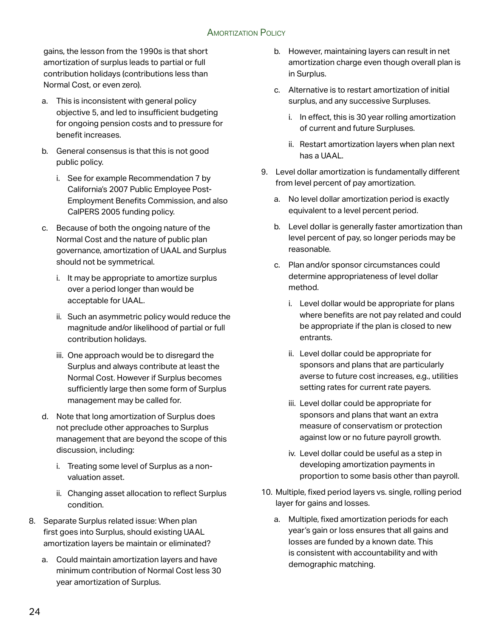gains, the lesson from the 1990s is that short amortization of surplus leads to partial or full contribution holidays (contributions less than Normal Cost, or even zero).

- a. This is inconsistent with general policy objective 5, and led to insufficient budgeting for ongoing pension costs and to pressure for benefit increases.
- b. General consensus is that this is not good public policy.
	- i. See for example Recommendation 7 by California's 2007 Public Employee Post-Employment Benefits Commission, and also CalPERS 2005 funding policy.
- c. Because of both the ongoing nature of the Normal Cost and the nature of public plan governance, amortization of UAAL and Surplus should not be symmetrical.
	- i. It may be appropriate to amortize surplus over a period longer than would be acceptable for UAAL.
	- ii. Such an asymmetric policy would reduce the magnitude and/or likelihood of partial or full contribution holidays.
	- iii. One approach would be to disregard the Surplus and always contribute at least the Normal Cost. However if Surplus becomes sufficiently large then some form of Surplus management may be called for.
- d. Note that long amortization of Surplus does not preclude other approaches to Surplus management that are beyond the scope of this discussion, including:
	- i. Treating some level of Surplus as a nonvaluation asset.
	- ii. Changing asset allocation to reflect Surplus condition.
- 8. Separate Surplus related issue: When plan first goes into Surplus, should existing UAAL amortization layers be maintain or eliminated?
	- a. Could maintain amortization layers and have minimum contribution of Normal Cost less 30 year amortization of Surplus.
- b. However, maintaining layers can result in net amortization charge even though overall plan is in Surplus.
- c. Alternative is to restart amortization of initial surplus, and any successive Surpluses.
	- i. In effect, this is 30 year rolling amortization of current and future Surpluses.
	- ii. Restart amortization layers when plan next has a UAAL.
- 9. Level dollar amortization is fundamentally different from level percent of pay amortization.
	- a. No level dollar amortization period is exactly equivalent to a level percent period.
	- b. Level dollar is generally faster amortization than level percent of pay, so longer periods may be reasonable.
	- c. Plan and/or sponsor circumstances could determine appropriateness of level dollar method.
		- i. Level dollar would be appropriate for plans where benefits are not pay related and could be appropriate if the plan is closed to new entrants.
		- ii. Level dollar could be appropriate for sponsors and plans that are particularly averse to future cost increases, e.g., utilities setting rates for current rate payers.
		- iii. Level dollar could be appropriate for sponsors and plans that want an extra measure of conservatism or protection against low or no future payroll growth.
		- iv. Level dollar could be useful as a step in developing amortization payments in proportion to some basis other than payroll.
- 10. Multiple, fixed period layers vs. single, rolling period layer for gains and losses.
	- a. Multiple, fixed amortization periods for each year's gain or loss ensures that all gains and losses are funded by a known date. This is consistent with accountability and with demographic matching.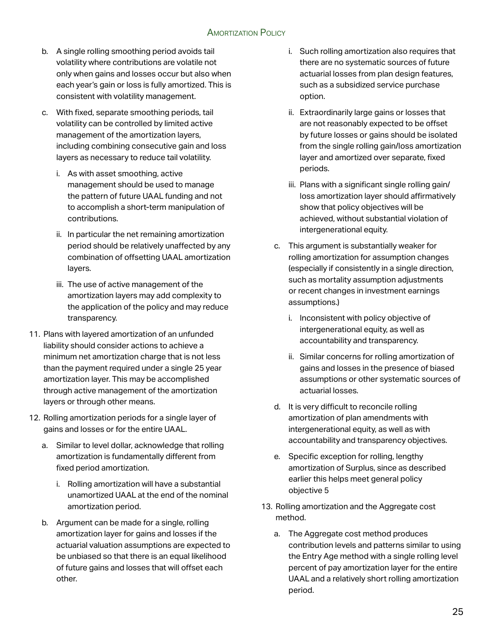- b. A single rolling smoothing period avoids tail volatility where contributions are volatile not only when gains and losses occur but also when each year's gain or loss is fully amortized. This is consistent with volatility management.
- c. With fixed, separate smoothing periods, tail volatility can be controlled by limited active management of the amortization layers, including combining consecutive gain and loss layers as necessary to reduce tail volatility.
	- i. As with asset smoothing, active management should be used to manage the pattern of future UAAL funding and not to accomplish a short-term manipulation of contributions.
	- ii. In particular the net remaining amortization period should be relatively unaffected by any combination of offsetting UAAL amortization layers.
	- iii. The use of active management of the amortization layers may add complexity to the application of the policy and may reduce transparency.
- 11. Plans with layered amortization of an unfunded liability should consider actions to achieve a minimum net amortization charge that is not less than the payment required under a single 25 year amortization layer. This may be accomplished through active management of the amortization layers or through other means.
- 12. Rolling amortization periods for a single layer of gains and losses or for the entire UAAL.
	- a. Similar to level dollar, acknowledge that rolling amortization is fundamentally different from fixed period amortization.
		- i. Rolling amortization will have a substantial unamortized UAAL at the end of the nominal amortization period.
	- b. Argument can be made for a single, rolling amortization layer for gains and losses if the actuarial valuation assumptions are expected to be unbiased so that there is an equal likelihood of future gains and losses that will offset each other.
- i. Such rolling amortization also requires that there are no systematic sources of future actuarial losses from plan design features, such as a subsidized service purchase option.
- ii. Extraordinarily large gains or losses that are not reasonably expected to be offset by future losses or gains should be isolated from the single rolling gain/loss amortization layer and amortized over separate, fixed periods.
- iii. Plans with a significant single rolling gain/ loss amortization layer should affirmatively show that policy objectives will be achieved, without substantial violation of intergenerational equity.
- c. This argument is substantially weaker for rolling amortization for assumption changes (especially if consistently in a single direction, such as mortality assumption adjustments or recent changes in investment earnings assumptions.)
	- i. Inconsistent with policy objective of intergenerational equity, as well as accountability and transparency.
	- ii. Similar concerns for rolling amortization of gains and losses in the presence of biased assumptions or other systematic sources of actuarial losses.
- d. It is very difficult to reconcile rolling amortization of plan amendments with intergenerational equity, as well as with accountability and transparency objectives.
- e. Specific exception for rolling, lengthy amortization of Surplus, since as described earlier this helps meet general policy objective 5
- 13. Rolling amortization and the Aggregate cost method.
	- a. The Aggregate cost method produces contribution levels and patterns similar to using the Entry Age method with a single rolling level percent of pay amortization layer for the entire UAAL and a relatively short rolling amortization period.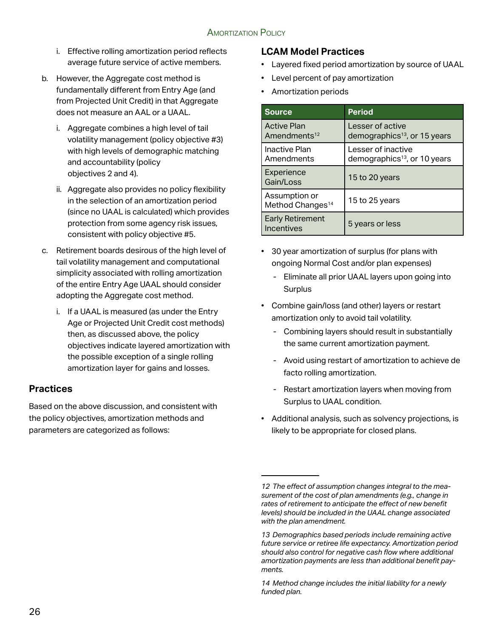- i. Effective rolling amortization period reflects average future service of active members.
- b. However, the Aggregate cost method is fundamentally different from Entry Age (and from Projected Unit Credit) in that Aggregate does not measure an AAL or a UAAL.
	- i. Aggregate combines a high level of tail volatility management (policy objective #3) with high levels of demographic matching and accountability (policy objectives 2 and 4).
	- ii. Aggregate also provides no policy flexibility in the selection of an amortization period (since no UAAL is calculated) which provides protection from some agency risk issues, consistent with policy objective #5.
- c. Retirement boards desirous of the high level of tail volatility management and computational simplicity associated with rolling amortization of the entire Entry Age UAAL should consider adopting the Aggregate cost method.
	- i. If a UAAL is measured (as under the Entry Age or Projected Unit Credit cost methods) then, as discussed above, the policy objectives indicate layered amortization with the possible exception of a single rolling amortization layer for gains and losses.

#### **Practices**

Based on the above discussion, and consistent with the policy objectives, amortization methods and parameters are categorized as follows:

#### **LCAM Model Practices**

- Layered fixed period amortization by source of UAAL
- Level percent of pay amortization
- Amortization periods

| <b>Source</b>                                  | <b>Period</b>                                                  |
|------------------------------------------------|----------------------------------------------------------------|
| <b>Active Plan</b><br>Amendments <sup>12</sup> | Lesser of active<br>demographics <sup>13</sup> , or 15 years   |
| Inactive Plan<br>Amendments                    | Lesser of inactive<br>demographics <sup>13</sup> , or 10 years |
| Experience<br>Gain/Loss                        | 15 to 20 years                                                 |
| Assumption or<br>Method Changes <sup>14</sup>  | 15 to 25 years                                                 |
| <b>Early Retirement</b><br>Incentives          | 5 years or less                                                |

- 30 year amortization of surplus (for plans with ongoing Normal Cost and/or plan expenses)
	- Eliminate all prior UAAL layers upon going into **Surplus**
- Combine gain/loss (and other) layers or restart amortization only to avoid tail volatility.
	- Combining layers should result in substantially the same current amortization payment.
	- Avoid using restart of amortization to achieve de facto rolling amortization.
	- Restart amortization layers when moving from Surplus to UAAL condition.
- Additional analysis, such as solvency projections, is likely to be appropriate for closed plans.

*<sup>12</sup> The effect of assumption changes integral to the measurement of the cost of plan amendments (e.g., change in rates of retirement to anticipate the effect of new benefit levels) should be included in the UAAL change associated with the plan amendment.*

*<sup>13</sup> Demographics based periods include remaining active future service or retiree life expectancy. Amortization period should also control for negative cash flow where additional amortization payments are less than additional benefit payments.*

*<sup>14</sup> Method change includes the initial liability for a newly funded plan.*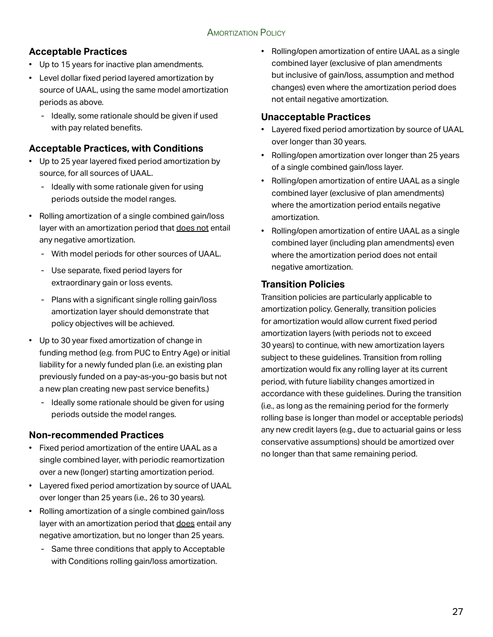## **Acceptable Practices**

- Up to 15 years for inactive plan amendments.
- Level dollar fixed period layered amortization by source of UAAL, using the same model amortization periods as above.
	- Ideally, some rationale should be given if used with pay related benefits.

#### **Acceptable Practices, with Conditions**

- Up to 25 year layered fixed period amortization by source, for all sources of UAAL.
	- Ideally with some rationale given for using periods outside the model ranges.
- Rolling amortization of a single combined gain/loss layer with an amortization period that does not entail any negative amortization.
	- With model periods for other sources of UAAL.
	- Use separate, fixed period layers for extraordinary gain or loss events.
	- Plans with a significant single rolling gain/loss amortization layer should demonstrate that policy objectives will be achieved.
- Up to 30 year fixed amortization of change in funding method (e.g. from PUC to Entry Age) or initial liability for a newly funded plan (i.e. an existing plan previously funded on a pay-as-you-go basis but not a new plan creating new past service benefits.)
	- Ideally some rationale should be given for using periods outside the model ranges.

#### **Non-recommended Practices**

- Fixed period amortization of the entire UAAL as a single combined layer, with periodic reamortization over a new (longer) starting amortization period.
- Layered fixed period amortization by source of UAAL over longer than 25 years (i.e., 26 to 30 years).
- Rolling amortization of a single combined gain/loss layer with an amortization period that does entail any negative amortization, but no longer than 25 years.
	- Same three conditions that apply to Acceptable with Conditions rolling gain/loss amortization.

• Rolling/open amortization of entire UAAL as a single combined layer (exclusive of plan amendments but inclusive of gain/loss, assumption and method changes) even where the amortization period does not entail negative amortization.

#### **Unacceptable Practices**

- Layered fixed period amortization by source of UAAL over longer than 30 years.
- Rolling/open amortization over longer than 25 years of a single combined gain/loss layer.
- Rolling/open amortization of entire UAAL as a single combined layer (exclusive of plan amendments) where the amortization period entails negative amortization.
- Rolling/open amortization of entire UAAL as a single combined layer (including plan amendments) even where the amortization period does not entail negative amortization.

## **Transition Policies**

Transition policies are particularly applicable to amortization policy. Generally, transition policies for amortization would allow current fixed period amortization layers (with periods not to exceed 30 years) to continue, with new amortization layers subject to these guidelines. Transition from rolling amortization would fix any rolling layer at its current period, with future liability changes amortized in accordance with these guidelines. During the transition (i.e., as long as the remaining period for the formerly rolling base is longer than model or acceptable periods) any new credit layers (e.g., due to actuarial gains or less conservative assumptions) should be amortized over no longer than that same remaining period.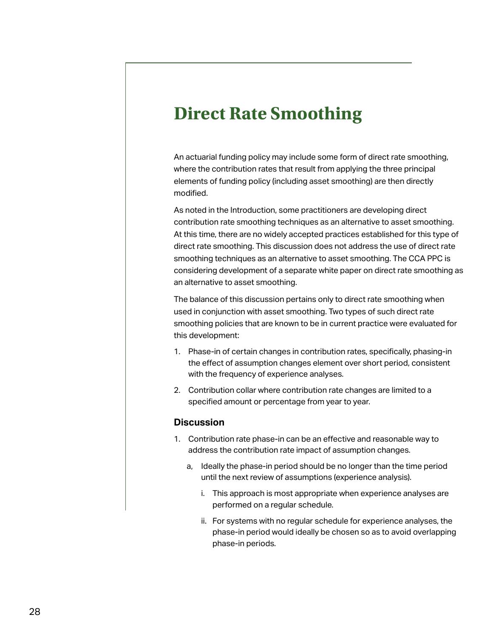# <span id="page-27-0"></span>**Direct Rate Smoothing**

An actuarial funding policy may include some form of direct rate smoothing, where the contribution rates that result from applying the three principal elements of funding policy (including asset smoothing) are then directly modified.

As noted in the Introduction, some practitioners are developing direct contribution rate smoothing techniques as an alternative to asset smoothing. At this time, there are no widely accepted practices established for this type of direct rate smoothing. This discussion does not address the use of direct rate smoothing techniques as an alternative to asset smoothing. The CCA PPC is considering development of a separate white paper on direct rate smoothing as an alternative to asset smoothing.

The balance of this discussion pertains only to direct rate smoothing when used in conjunction with asset smoothing. Two types of such direct rate smoothing policies that are known to be in current practice were evaluated for this development:

- 1. Phase-in of certain changes in contribution rates, specifically, phasing-in the effect of assumption changes element over short period, consistent with the frequency of experience analyses.
- 2. Contribution collar where contribution rate changes are limited to a specified amount or percentage from year to year.

#### **Discussion**

- 1. Contribution rate phase-in can be an effective and reasonable way to address the contribution rate impact of assumption changes.
	- a, Ideally the phase-in period should be no longer than the time period until the next review of assumptions (experience analysis).
		- i. This approach is most appropriate when experience analyses are performed on a regular schedule.
		- ii. For systems with no regular schedule for experience analyses, the phase-in period would ideally be chosen so as to avoid overlapping phase-in periods.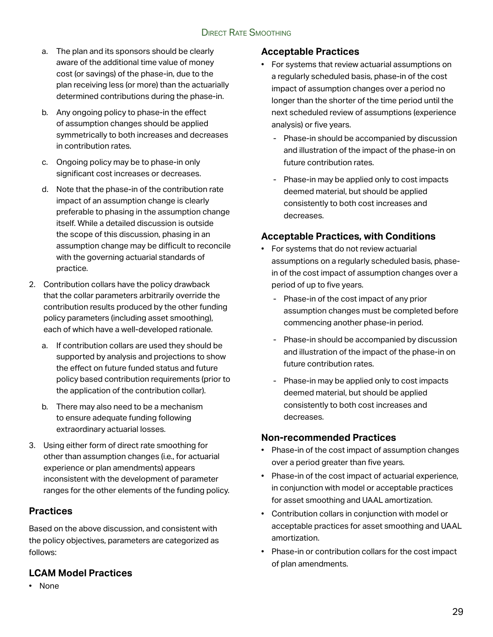#### Direct Rate Smoothing

- a. The plan and its sponsors should be clearly aware of the additional time value of money cost (or savings) of the phase-in, due to the plan receiving less (or more) than the actuarially determined contributions during the phase-in.
- b. Any ongoing policy to phase-in the effect of assumption changes should be applied symmetrically to both increases and decreases in contribution rates.
- c. Ongoing policy may be to phase-in only significant cost increases or decreases.
- d. Note that the phase-in of the contribution rate impact of an assumption change is clearly preferable to phasing in the assumption change itself. While a detailed discussion is outside the scope of this discussion, phasing in an assumption change may be difficult to reconcile with the governing actuarial standards of practice.
- 2. Contribution collars have the policy drawback that the collar parameters arbitrarily override the contribution results produced by the other funding policy parameters (including asset smoothing), each of which have a well-developed rationale.
	- a. If contribution collars are used they should be supported by analysis and projections to show the effect on future funded status and future policy based contribution requirements (prior to the application of the contribution collar).
	- b. There may also need to be a mechanism to ensure adequate funding following extraordinary actuarial losses.
- 3. Using either form of direct rate smoothing for other than assumption changes (i.e., for actuarial experience or plan amendments) appears inconsistent with the development of parameter ranges for the other elements of the funding policy.

#### **Practices**

Based on the above discussion, and consistent with the policy objectives, parameters are categorized as follows:

#### **LCAM Model Practices**

• None

#### **Acceptable Practices**

- For systems that review actuarial assumptions on a regularly scheduled basis, phase-in of the cost impact of assumption changes over a period no longer than the shorter of the time period until the next scheduled review of assumptions (experience analysis) or five years.
	- Phase-in should be accompanied by discussion and illustration of the impact of the phase-in on future contribution rates.
	- Phase-in may be applied only to cost impacts deemed material, but should be applied consistently to both cost increases and decreases.

#### **Acceptable Practices, with Conditions**

- For systems that do not review actuarial assumptions on a regularly scheduled basis, phasein of the cost impact of assumption changes over a period of up to five years.
	- Phase-in of the cost impact of any prior assumption changes must be completed before commencing another phase-in period.
	- Phase-in should be accompanied by discussion and illustration of the impact of the phase-in on future contribution rates.
	- Phase-in may be applied only to cost impacts deemed material, but should be applied consistently to both cost increases and decreases.

#### **Non-recommended Practices**

- Phase-in of the cost impact of assumption changes over a period greater than five years.
- Phase-in of the cost impact of actuarial experience, in conjunction with model or acceptable practices for asset smoothing and UAAL amortization.
- Contribution collars in conjunction with model or acceptable practices for asset smoothing and UAAL amortization.
- Phase-in or contribution collars for the cost impact of plan amendments.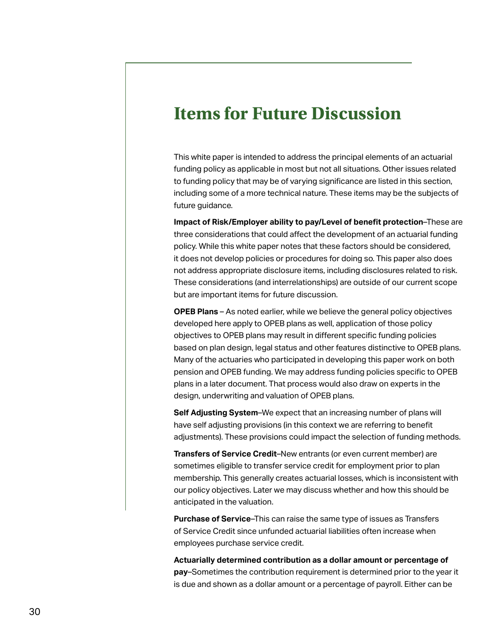## <span id="page-29-0"></span>**Items for Future Discussion**

This white paper is intended to address the principal elements of an actuarial funding policy as applicable in most but not all situations. Other issues related to funding policy that may be of varying significance are listed in this section, including some of a more technical nature. These items may be the subjects of future guidance.

**Impact of Risk/Employer ability to pay/Level of benefit protection**–These are three considerations that could affect the development of an actuarial funding policy. While this white paper notes that these factors should be considered, it does not develop policies or procedures for doing so. This paper also does not address appropriate disclosure items, including disclosures related to risk. These considerations (and interrelationships) are outside of our current scope but are important items for future discussion.

**OPEB Plans** – As noted earlier, while we believe the general policy objectives developed here apply to OPEB plans as well, application of those policy objectives to OPEB plans may result in different specific funding policies based on plan design, legal status and other features distinctive to OPEB plans. Many of the actuaries who participated in developing this paper work on both pension and OPEB funding. We may address funding policies specific to OPEB plans in a later document. That process would also draw on experts in the design, underwriting and valuation of OPEB plans.

**Self Adjusting System**–We expect that an increasing number of plans will have self adjusting provisions (in this context we are referring to benefit adjustments). These provisions could impact the selection of funding methods.

**Transfers of Service Credit**–New entrants (or even current member) are sometimes eligible to transfer service credit for employment prior to plan membership. This generally creates actuarial losses, which is inconsistent with our policy objectives. Later we may discuss whether and how this should be anticipated in the valuation.

**Purchase of Service**–This can raise the same type of issues as Transfers of Service Credit since unfunded actuarial liabilities often increase when employees purchase service credit.

**Actuarially determined contribution as a dollar amount or percentage of pay**–Sometimes the contribution requirement is determined prior to the year it is due and shown as a dollar amount or a percentage of payroll. Either can be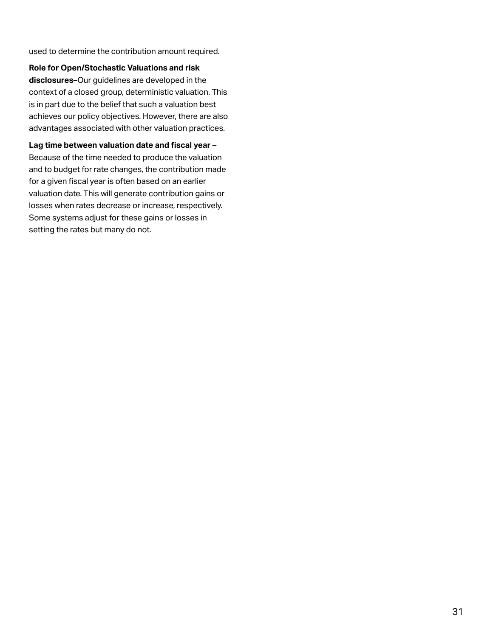used to determine the contribution amount required.

**Role for Open/Stochastic Valuations and risk** 

**disclosures**–Our guidelines are developed in the context of a closed group, deterministic valuation. This is in part due to the belief that such a valuation best achieves our policy objectives. However, there are also advantages associated with other valuation practices.

**Lag time between valuation date and fiscal year** – Because of the time needed to produce the valuation and to budget for rate changes, the contribution made for a given fiscal year is often based on an earlier valuation date. This will generate contribution gains or losses when rates decrease or increase, respectively. Some systems adjust for these gains or losses in setting the rates but many do not.